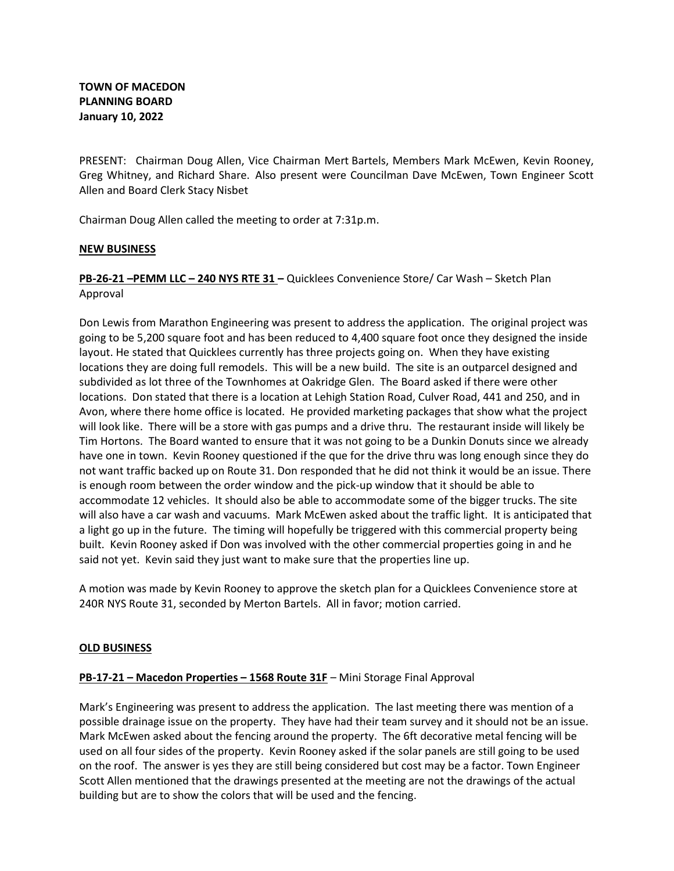PRESENT: Chairman Doug Allen, Vice Chairman Mert Bartels, Members Mark McEwen, Kevin Rooney, Greg Whitney, and Richard Share. Also present were Councilman Dave McEwen, Town Engineer Scott Allen and Board Clerk Stacy Nisbet

Chairman Doug Allen called the meeting to order at 7:31p.m.

## NEW BUSINESS

PB-26-21 –PEMM LLC – 240 NYS RTE 31 – Quicklees Convenience Store/ Car Wash – Sketch Plan Approval

Don Lewis from Marathon Engineering was present to address the application. The original project was going to be 5,200 square foot and has been reduced to 4,400 square foot once they designed the inside layout. He stated that Quicklees currently has three projects going on. When they have existing locations they are doing full remodels. This will be a new build. The site is an outparcel designed and subdivided as lot three of the Townhomes at Oakridge Glen. The Board asked if there were other locations. Don stated that there is a location at Lehigh Station Road, Culver Road, 441 and 250, and in Avon, where there home office is located. He provided marketing packages that show what the project will look like. There will be a store with gas pumps and a drive thru. The restaurant inside will likely be Tim Hortons. The Board wanted to ensure that it was not going to be a Dunkin Donuts since we already have one in town. Kevin Rooney questioned if the que for the drive thru was long enough since they do not want traffic backed up on Route 31. Don responded that he did not think it would be an issue. There is enough room between the order window and the pick-up window that it should be able to accommodate 12 vehicles. It should also be able to accommodate some of the bigger trucks. The site will also have a car wash and vacuums. Mark McEwen asked about the traffic light. It is anticipated that a light go up in the future. The timing will hopefully be triggered with this commercial property being built. Kevin Rooney asked if Don was involved with the other commercial properties going in and he said not yet. Kevin said they just want to make sure that the properties line up.

A motion was made by Kevin Rooney to approve the sketch plan for a Quicklees Convenience store at 240R NYS Route 31, seconded by Merton Bartels. All in favor; motion carried.

### OLD BUSINESS

# PB-17-21 – Macedon Properties – 1568 Route 31F – Mini Storage Final Approval

Mark's Engineering was present to address the application. The last meeting there was mention of a possible drainage issue on the property. They have had their team survey and it should not be an issue. Mark McEwen asked about the fencing around the property. The 6ft decorative metal fencing will be used on all four sides of the property. Kevin Rooney asked if the solar panels are still going to be used on the roof. The answer is yes they are still being considered but cost may be a factor. Town Engineer Scott Allen mentioned that the drawings presented at the meeting are not the drawings of the actual building but are to show the colors that will be used and the fencing.